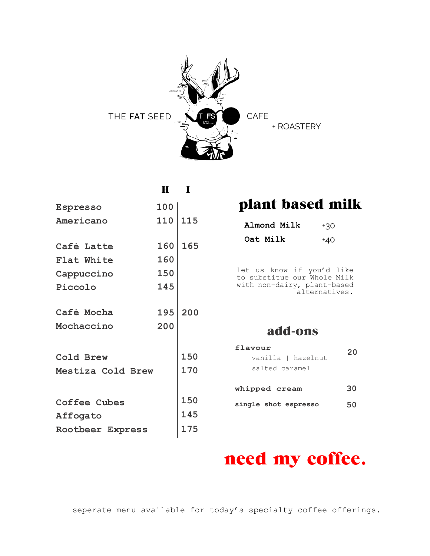

| $\bf{H}$          |            |                                                 |                             |
|-------------------|------------|-------------------------------------------------|-----------------------------|
| 100               |            | plant based milk                                |                             |
| 110               | 115        | Almond Milk                                     | $+30$                       |
| 160               | 165        | Oat Milk                                        | $+40$                       |
| 160               |            |                                                 |                             |
| 150               |            | let us know if you'd like                       |                             |
| 145               |            | with non-dairy, plant-based                     | alternatives.               |
| 195               | 200        |                                                 |                             |
| 200               |            | add-ons                                         |                             |
| Mestiza Cold Brew | 150<br>170 | flavour<br>vanilla   hazelnut<br>salted caramel | 20                          |
|                   |            | whipped cream                                   | 30                          |
|                   | 150        | single shot espresso                            | 50                          |
|                   | 145        |                                                 |                             |
| Rootbeer Express  | 175        |                                                 |                             |
|                   |            |                                                 | to substitue our Whole Milk |

# need my coffee.

seperate menu available for today's specialty coffee offerings.